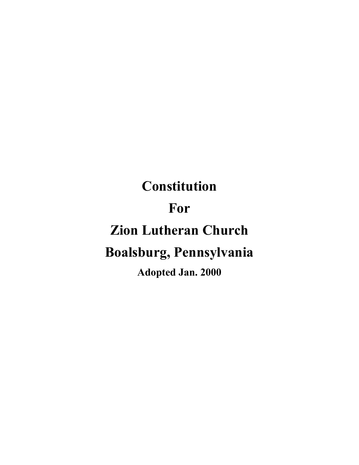**Constitution For Zion Lutheran Church Boalsburg, Pennsylvania Adopted Jan. 2000**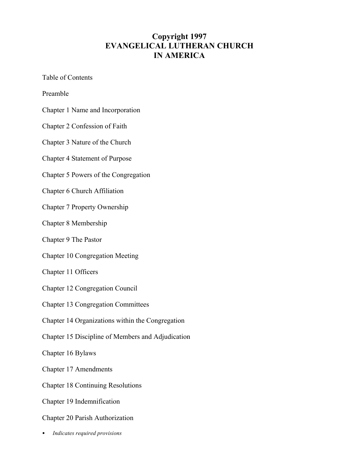# **Copyright 1997 EVANGELICAL LUTHERAN CHURCH IN AMERICA**

Table of Contents

Preamble

- Chapter 1 Name and Incorporation
- Chapter 2 Confession of Faith
- Chapter 3 Nature of the Church
- Chapter 4 Statement of Purpose
- Chapter 5 Powers of the Congregation
- Chapter 6 Church Affiliation
- Chapter 7 Property Ownership
- Chapter 8 Membership
- Chapter 9 The Pastor
- Chapter 10 Congregation Meeting
- Chapter 11 Officers
- Chapter 12 Congregation Council
- Chapter 13 Congregation Committees
- Chapter 14 Organizations within the Congregation
- Chapter 15 Discipline of Members and Adjudication
- Chapter 16 Bylaws
- Chapter 17 Amendments
- Chapter 18 Continuing Resolutions
- Chapter 19 Indemnification
- Chapter 20 Parish Authorization
- *Indicates required provisions*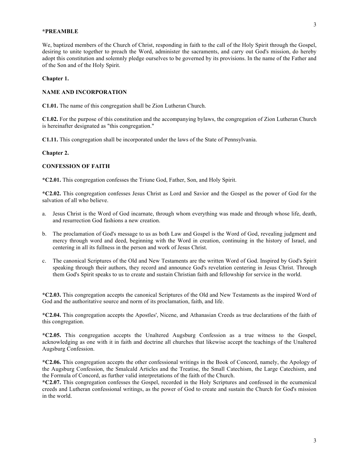#### **\*PREAMBLE**

We, baptized members of the Church of Christ, responding in faith to the call of the Holy Spirit through the Gospel, desiring to unite together to preach the Word, administer the sacraments, and carry out God's mission, do hereby adopt this constitution and solemnly pledge ourselves to be governed by its provisions. In the name of the Father and of the Son and of the Holy Spirit.

#### **Chapter 1.**

## **NAME AND INCORPORATION**

**C1.01.** The name of this congregation shall be Zion Lutheran Church.

**C1.02.** For the purpose of this constitution and the accompanying bylaws, the congregation of Zion Lutheran Church is hereinafter designated as "this congregation."

**C1.11.** This congregation shall be incorporated under the laws of the State of Pennsylvania.

#### **Chapter 2.**

## **CONFESSION OF FAITH**

**\*C2.01.** This congregation confesses the Triune God, Father, Son, and Holy Spirit.

**\*C2.02.** This congregation confesses Jesus Christ as Lord and Savior and the Gospel as the power of God for the salvation of all who believe.

- a. Jesus Christ is the Word of God incarnate, through whom everything was made and through whose life, death, and resurrection God fashions a new creation.
- b. The proclamation of God's message to us as both Law and Gospel is the Word of God, revealing judgment and mercy through word and deed, beginning with the Word in creation, continuing in the history of Israel, and centering in all its fullness in the person and work of Jesus Christ.
- c. The canonical Scriptures of the Old and New Testaments are the written Word of God. Inspired by God's Spirit speaking through their authors, they record and announce God's revelation centering in Jesus Christ. Through them God's Spirit speaks to us to create and sustain Christian faith and fellowship for service in the world.

**\*C2.03.** This congregation accepts the canonical Scriptures of the Old and New Testaments as the inspired Word of God and the authoritative source and norm of its proclamation, faith, and life.

**\*C2.04.** This congregation accepts the Apostles', Nicene, and Athanasian Creeds as true declarations of the faith of this congregation.

**\*C2.05.** This congregation accepts the Unaltered Augsburg Confession as a true witness to the Gospel, acknowledging as one with it in faith and doctrine all churches that likewise accept the teachings of the Unaltered Augsburg Confession.

**\*C2.06.** This congregation accepts the other confessional writings in the Book of Concord, namely, the Apology of the Augsburg Confession, the Smalcald Articles and the Treatise, the Small Catechism, the Large Catechism, and the Formula of Concord, as further valid interpretations of the faith of the Church.

**\*C2.07.** This congregation confesses the Gospel, recorded in the Holy Scriptures and confessed in the ecumenical creeds and Lutheran confessional writings, as the power of God to create and sustain the Church for God's mission in the world.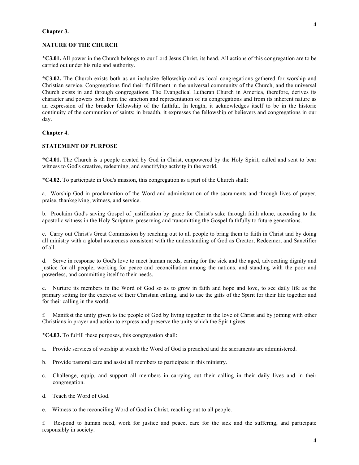#### **Chapter 3.**

#### **NATURE OF THE CHURCH**

**\*C3.01.** All power in the Church belongs to our Lord Jesus Christ, its head. All actions of this congregation are to be carried out under his rule and authority.

**\*C3.02.** The Church exists both as an inclusive fellowship and as local congregations gathered for worship and Christian service. Congregations find their fulfillment in the universal community of the Church, and the universal Church exists in and through congregations. The Evangelical Lutheran Church in America, therefore, derives its character and powers both from the sanction and representation of its congregations and from its inherent nature as an expression of the broader fellowship of the faithful. In length, it acknowledges itself to be in the historic continuity of the communion of saints; in breadth, it expresses the fellowship of believers and congregations in our day.

#### **Chapter 4.**

## **STATEMENT OF PURPOSE**

**\*C4.01.** The Church is a people created by God in Christ, empowered by the Holy Spirit, called and sent to bear witness to God's creative, redeeming, and sanctifying activity in the world.

**\*C4.02.** To participate in God's mission, this congregation as a part of the Church shall:

a. Worship God in proclamation of the Word and administration of the sacraments and through lives of prayer, praise, thanksgiving, witness, and service.

b. Proclaim God's saving Gospel of justification by grace for Christ's sake through faith alone, according to the apostolic witness in the Holy Scripture, preserving and transmitting the Gospel faithfully to future generations.

c. Carry out Christ's Great Commission by reaching out to all people to bring them to faith in Christ and by doing all ministry with a global awareness consistent with the understanding of God as Creator, Redeemer, and Sanctifier of all.

d. Serve in response to God's love to meet human needs, caring for the sick and the aged, advocating dignity and justice for all people, working for peace and reconciliation among the nations, and standing with the poor and powerless, and committing itself to their needs.

e. Nurture its members in the Word of God so as to grow in faith and hope and love, to see daily life as the primary setting for the exercise of their Christian calling, and to use the gifts of the Spirit for their life together and for their calling in the world.

f. Manifest the unity given to the people of God by living together in the love of Christ and by joining with other Christians in prayer and action to express and preserve the unity which the Spirit gives.

**\*C4.03.** To fulfill these purposes, this congregation shall:

- a. Provide services of worship at which the Word of God is preached and the sacraments are administered.
- b. Provide pastoral care and assist all members to participate in this ministry.
- c. Challenge, equip, and support all members in carrying out their calling in their daily lives and in their congregation.
- d. Teach the Word of God.
- e. Witness to the reconciling Word of God in Christ, reaching out to all people.

f. Respond to human need, work for justice and peace, care for the sick and the suffering, and participate responsibly in society.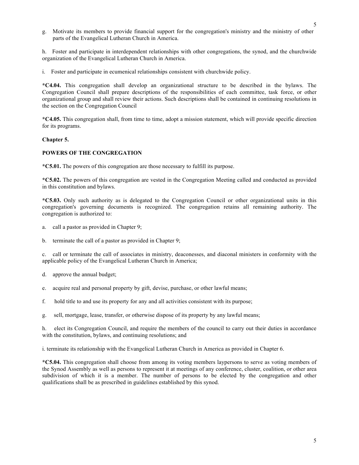g. Motivate its members to provide financial support for the congregation's ministry and the ministry of other parts of the Evangelical Lutheran Church in America.

h. Foster and participate in interdependent relationships with other congregations, the synod, and the churchwide organization of the Evangelical Lutheran Church in America.

i. Foster and participate in ecumenical relationships consistent with churchwide policy.

**\*C4.04.** This congregation shall develop an organizational structure to be described in the bylaws. The Congregation Council shall prepare descriptions of the responsibilities of each committee, task force, or other organizational group and shall review their actions. Such descriptions shall be contained in continuing resolutions in the section on the Congregation Council

**\*C4.05.** This congregation shall, from time to time, adopt a mission statement, which will provide specific direction for its programs.

#### **Chapter 5.**

#### **POWERS OF THE CONGREGATION**

**\*C5.01.** The powers of this congregation are those necessary to fulfill its purpose.

**\*C5.02.** The powers of this congregation are vested in the Congregation Meeting called and conducted as provided in this constitution and bylaws.

**\*C5.03.** Only such authority as is delegated to the Congregation Council or other organizational units in this congregation's governing documents is recognized. The congregation retains all remaining authority. The congregation is authorized to:

- a. call a pastor as provided in Chapter 9;
- b. terminate the call of a pastor as provided in Chapter 9;

c. call or terminate the call of associates in ministry, deaconesses, and diaconal ministers in conformity with the applicable policy of the Evangelical Lutheran Church in America;

- d. approve the annual budget;
- e. acquire real and personal property by gift, devise, purchase, or other lawful means;
- f. hold title to and use its property for any and all activities consistent with its purpose;
- g. sell, mortgage, lease, transfer, or otherwise dispose of its property by any lawful means;

h. elect its Congregation Council, and require the members of the council to carry out their duties in accordance with the constitution, bylaws, and continuing resolutions; and

i. terminate its relationship with the Evangelical Lutheran Church in America as provided in Chapter 6.

**\*C5.04.** This congregation shall choose from among its voting members laypersons to serve as voting members of the Synod Assembly as well as persons to represent it at meetings of any conference, cluster, coalition, or other area subdivision of which it is a member. The number of persons to be elected by the congregation and other qualifications shall be as prescribed in guidelines established by this synod.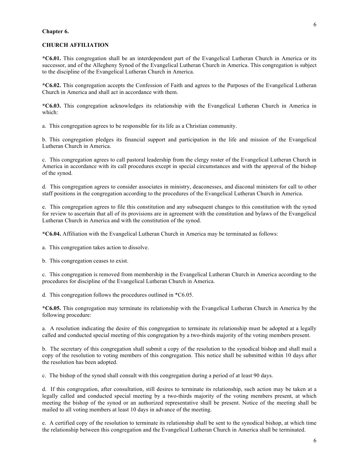#### **Chapter 6.**

#### **CHURCH AFFILIATION**

**\*C6.01.** This congregation shall be an interdependent part of the Evangelical Lutheran Church in America or its successor, and of the Allegheny Synod of the Evangelical Lutheran Church in America. This congregation is subject to the discipline of the Evangelical Lutheran Church in America.

**\*C6.02.** This congregation accepts the Confession of Faith and agrees to the Purposes of the Evangelical Lutheran Church in America and shall act in accordance with them.

**\*C6.03.** This congregation acknowledges its relationship with the Evangelical Lutheran Church in America in which:

a. This congregation agrees to be responsible for its life as a Christian community.

b. This congregation pledges its financial support and participation in the life and mission of the Evangelical Lutheran Church in America.

c. This congregation agrees to call pastoral leadership from the clergy roster of the Evangelical Lutheran Church in America in accordance with its call procedures except in special circumstances and with the approval of the bishop of the synod.

d. This congregation agrees to consider associates in ministry, deaconesses, and diaconal ministers for call to other staff positions in the congregation according to the procedures of the Evangelical Lutheran Church in America.

e. This congregation agrees to file this constitution and any subsequent changes to this constitution with the synod for review to ascertain that all of its provisions are in agreement with the constitution and bylaws of the Evangelical Lutheran Church in America and with the constitution of the synod.

**\*C6.04.** Affiliation with the Evangelical Lutheran Church in America may be terminated as follows:

a. This congregation takes action to dissolve.

b. This congregation ceases to exist.

c. This congregation is removed from membership in the Evangelical Lutheran Church in America according to the procedures for discipline of the Evangelical Lutheran Church in America.

d. This congregation follows the procedures outlined in \*C6.05.

**\*C6.05.** This congregation may terminate its relationship with the Evangelical Lutheran Church in America by the following procedure:

a. A resolution indicating the desire of this congregation to terminate its relationship must be adopted at a legally called and conducted special meeting of this congregation by a two-thirds majority of the voting members present.

b. The secretary of this congregation shall submit a copy of the resolution to the synodical bishop and shall mail a copy of the resolution to voting members of this congregation. This notice shall be submitted within 10 days after the resolution has been adopted.

c. The bishop of the synod shall consult with this congregation during a period of at least 90 days.

d. If this congregation, after consultation, still desires to terminate its relationship, such action may be taken at a legally called and conducted special meeting by a two-thirds majority of the voting members present, at which meeting the bishop of the synod or an authorized representative shall be present. Notice of the meeting shall be mailed to all voting members at least 10 days in advance of the meeting.

e. A certified copy of the resolution to terminate its relationship shall be sent to the synodical bishop, at which time the relationship between this congregation and the Evangelical Lutheran Church in America shall be terminated.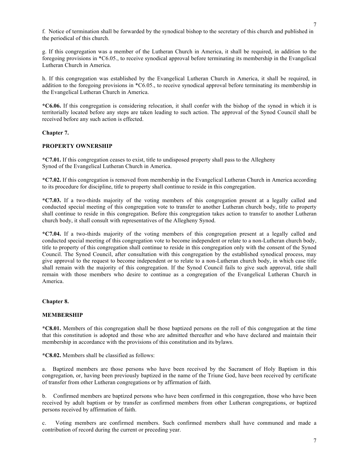f. Notice of termination shall be forwarded by the synodical bishop to the secretary of this church and published in the periodical of this church.

g. If this congregation was a member of the Lutheran Church in America, it shall be required, in addition to the foregoing provisions in \*C6.05., to receive synodical approval before terminating its membership in the Evangelical Lutheran Church in America.

h. If this congregation was established by the Evangelical Lutheran Church in America, it shall be required, in addition to the foregoing provisions in \*C6.05., to receive synodical approval before terminating its membership in the Evangelical Lutheran Church in America.

**\*C6.06.** If this congregation is considering relocation, it shall confer with the bishop of the synod in which it is territorially located before any steps are taken leading to such action. The approval of the Synod Council shall be received before any such action is effected.

## **Chapter 7.**

## **PROPERTY OWNERSHIP**

**\*C7.01.** If this congregation ceases to exist, title to undisposed property shall pass to the Allegheny Synod of the Evangelical Lutheran Church in America.

**\*C7.02.** If this congregation is removed from membership in the Evangelical Lutheran Church in America according to its procedure for discipline, title to property shall continue to reside in this congregation.

**\*C7.03.** If a two-thirds majority of the voting members of this congregation present at a legally called and conducted special meeting of this congregation vote to transfer to another Lutheran church body, title to property shall continue to reside in this congregation. Before this congregation takes action to transfer to another Lutheran church body, it shall consult with representatives of the Allegheny Synod.

**\*C7.04.** If a two-thirds majority of the voting members of this congregation present at a legally called and conducted special meeting of this congregation vote to become independent or relate to a non-Lutheran church body, title to property of this congregation shall continue to reside in this congregation only with the consent of the Synod Council. The Synod Council, after consultation with this congregation by the established synodical process, may give approval to the request to become independent or to relate to a non-Lutheran church body, in which case title shall remain with the majority of this congregation. If the Synod Council fails to give such approval, title shall remain with those members who desire to continue as a congregation of the Evangelical Lutheran Church in America.

## **Chapter 8.**

## **MEMBERSHIP**

**\*C8.01.** Members of this congregation shall be those baptized persons on the roll of this congregation at the time that this constitution is adopted and those who are admitted thereafter and who have declared and maintain their membership in accordance with the provisions of this constitution and its bylaws.

**\*C8.02.** Members shall be classified as follows:

a. Baptized members are those persons who have been received by the Sacrament of Holy Baptism in this congregation, or, having been previously baptized in the name of the Triune God, have been received by certificate of transfer from other Lutheran congregations or by affirmation of faith.

b. Confirmed members are baptized persons who have been confirmed in this congregation, those who have been received by adult baptism or by transfer as confirmed members from other Lutheran congregations, or baptized persons received by affirmation of faith.

c. Voting members are confirmed members. Such confirmed members shall have communed and made a contribution of record during the current or preceding year.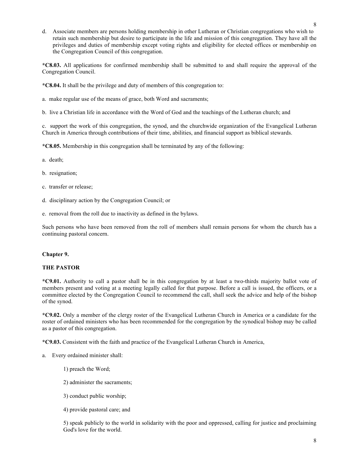d. Associate members are persons holding membership in other Lutheran or Christian congregations who wish to retain such membership but desire to participate in the life and mission of this congregation. They have all the privileges and duties of membership except voting rights and eligibility for elected offices or membership on the Congregation Council of this congregation.

**\*C8.03.** All applications for confirmed membership shall be submitted to and shall require the approval of the Congregation Council.

**\*C8.04.** It shall be the privilege and duty of members of this congregation to:

- a. make regular use of the means of grace, both Word and sacraments;
- b. live a Christian life in accordance with the Word of God and the teachings of the Lutheran church; and

c. support the work of this congregation, the synod, and the churchwide organization of the Evangelical Lutheran Church in America through contributions of their time, abilities, and financial support as biblical stewards.

**\*C8.05.** Membership in this congregation shall be terminated by any of the following:

- a. death;
- b. resignation;
- c. transfer or release;
- d. disciplinary action by the Congregation Council; or
- e. removal from the roll due to inactivity as defined in the bylaws.

Such persons who have been removed from the roll of members shall remain persons for whom the church has a continuing pastoral concern.

## **Chapter 9.**

## **THE PASTOR**

**\*C9.01.** Authority to call a pastor shall be in this congregation by at least a two-thirds majority ballot vote of members present and voting at a meeting legally called for that purpose. Before a call is issued, the officers, or a committee elected by the Congregation Council to recommend the call, shall seek the advice and help of the bishop of the synod.

**\*C9.02.** Only a member of the clergy roster of the Evangelical Lutheran Church in America or a candidate for the roster of ordained ministers who has been recommended for the congregation by the synodical bishop may be called as a pastor of this congregation.

**\*C9.03.** Consistent with the faith and practice of the Evangelical Lutheran Church in America,

- a. Every ordained minister shall:
	- 1) preach the Word;
	- 2) administer the sacraments;
	- 3) conduct public worship;
	- 4) provide pastoral care; and

5) speak publicly to the world in solidarity with the poor and oppressed, calling for justice and proclaiming God's love for the world.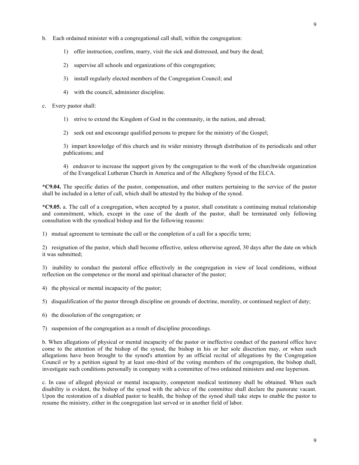- b. Each ordained minister with a congregational call shall, within the congregation:
	- 1) offer instruction, confirm, marry, visit the sick and distressed, and bury the dead;
	- 2) supervise all schools and organizations of this congregation;
	- 3) install regularly elected members of the Congregation Council; and
	- 4) with the council, administer discipline.

c. Every pastor shall:

- 1) strive to extend the Kingdom of God in the community, in the nation, and abroad;
- 2) seek out and encourage qualified persons to prepare for the ministry of the Gospel;

3) impart knowledge of this church and its wider ministry through distribution of its periodicals and other publications; and

4) endeavor to increase the support given by the congregation to the work of the churchwide organization of the Evangelical Lutheran Church in America and of the Allegheny Synod of the ELCA.

**\*C9.04.** The specific duties of the pastor, compensation, and other matters pertaining to the service of the pastor shall be included in a letter of call, which shall be attested by the bishop of the synod.

**\*C9.05.** a. The call of a congregation, when accepted by a pastor, shall constitute a continuing mutual relationship and commitment, which, except in the case of the death of the pastor, shall be terminated only following consultation with the synodical bishop and for the following reasons:

1) mutual agreement to terminate the call or the completion of a call for a specific term;

2) resignation of the pastor, which shall become effective, unless otherwise agreed, 30 days after the date on which it was submitted;

3) inability to conduct the pastoral office effectively in the congregation in view of local conditions, without reflection on the competence or the moral and spiritual character of the pastor;

- 4) the physical or mental incapacity of the pastor;
- 5) disqualification of the pastor through discipline on grounds of doctrine, morality, or continued neglect of duty;
- 6) the dissolution of the congregation; or

7) suspension of the congregation as a result of discipline proceedings.

b. When allegations of physical or mental incapacity of the pastor or ineffective conduct of the pastoral office have come to the attention of the bishop of the synod, the bishop in his or her sole discretion may, or when such allegations have been brought to the synod's attention by an official recital of allegations by the Congregation Council or by a petition signed by at least one-third of the voting members of the congregation, the bishop shall, investigate such conditions personally in company with a committee of two ordained ministers and one layperson.

c. In case of alleged physical or mental incapacity, competent medical testimony shall be obtained. When such disability is evident, the bishop of the synod with the advice of the committee shall declare the pastorate vacant. Upon the restoration of a disabled pastor to health, the bishop of the synod shall take steps to enable the pastor to resume the ministry, either in the congregation last served or in another field of labor.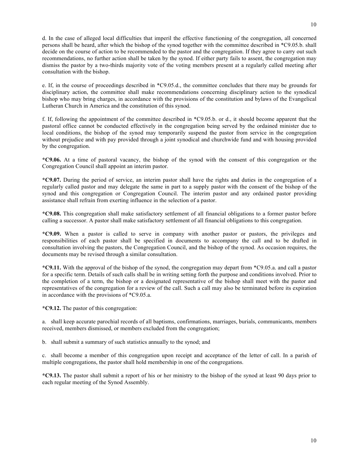d. In the case of alleged local difficulties that imperil the effective functioning of the congregation, all concerned persons shall be heard, after which the bishop of the synod together with the committee described in \*C9.05.b. shall decide on the course of action to be recommended to the pastor and the congregation. If they agree to carry out such recommendations, no further action shall be taken by the synod. If either party fails to assent, the congregation may dismiss the pastor by a two-thirds majority vote of the voting members present at a regularly called meeting after consultation with the bishop.

e. If, in the course of proceedings described in \*C9.05.d., the committee concludes that there may be grounds for disciplinary action, the committee shall make recommendations concerning disciplinary action to the synodical bishop who may bring charges, in accordance with the provisions of the constitution and bylaws of the Evangelical Lutheran Church in America and the constitution of this synod.

f. If, following the appointment of the committee described in \*C9.05.b. or d., it should become apparent that the pastoral office cannot be conducted effectively in the congregation being served by the ordained minister due to local conditions, the bishop of the synod may temporarily suspend the pastor from service in the congregation without prejudice and with pay provided through a joint synodical and churchwide fund and with housing provided by the congregation.

**\*C9.06.** At a time of pastoral vacancy, the bishop of the synod with the consent of this congregation or the Congregation Council shall appoint an interim pastor.

**\*C9.07.** During the period of service, an interim pastor shall have the rights and duties in the congregation of a regularly called pastor and may delegate the same in part to a supply pastor with the consent of the bishop of the synod and this congregation or Congregation Council. The interim pastor and any ordained pastor providing assistance shall refrain from exerting influence in the selection of a pastor.

**\*C9.08.** This congregation shall make satisfactory settlement of all financial obligations to a former pastor before calling a successor. A pastor shall make satisfactory settlement of all financial obligations to this congregation.

**\*C9.09.** When a pastor is called to serve in company with another pastor or pastors, the privileges and responsibilities of each pastor shall be specified in documents to accompany the call and to be drafted in consultation involving the pastors, the Congregation Council, and the bishop of the synod. As occasion requires, the documents may be revised through a similar consultation.

**\*C9.11.** With the approval of the bishop of the synod, the congregation may depart from \*C9.05.a. and call a pastor for a specific term. Details of such calls shall be in writing setting forth the purpose and conditions involved. Prior to the completion of a term, the bishop or a designated representative of the bishop shall meet with the pastor and representatives of the congregation for a review of the call. Such a call may also be terminated before its expiration in accordance with the provisions of \*C9.05.a.

**\*C9.12.** The pastor of this congregation:

a. shall keep accurate parochial records of all baptisms, confirmations, marriages, burials, communicants, members received, members dismissed, or members excluded from the congregation;

b. shall submit a summary of such statistics annually to the synod; and

c. shall become a member of this congregation upon receipt and acceptance of the letter of call. In a parish of multiple congregations, the pastor shall hold membership in one of the congregations.

**\*C9.13.** The pastor shall submit a report of his or her ministry to the bishop of the synod at least 90 days prior to each regular meeting of the Synod Assembly.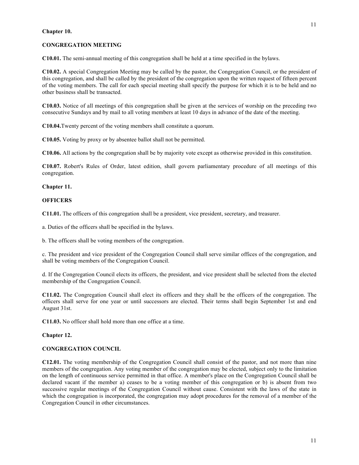#### **Chapter 10.**

#### **CONGREGATION MEETING**

**C10.01.** The semi-annual meeting of this congregation shall be held at a time specified in the bylaws.

**C10.02.** A special Congregation Meeting may be called by the pastor, the Congregation Council, or the president of this congregation, and shall be called by the president of the congregation upon the written request of fifteen percent of the voting members. The call for each special meeting shall specify the purpose for which it is to be held and no other business shall be transacted.

**C10.03.** Notice of all meetings of this congregation shall be given at the services of worship on the preceding two consecutive Sundays and by mail to all voting members at least 10 days in advance of the date of the meeting.

**C10.04.**Twenty percent of the voting members shall constitute a quorum.

**C10.05.** Voting by proxy or by absentee ballot shall not be permitted.

**C10.06.** All actions by the congregation shall be by majority vote except as otherwise provided in this constitution.

**C10.07.** Robert's Rules of Order, latest edition, shall govern parliamentary procedure of all meetings of this congregation.

#### **Chapter 11.**

## **OFFICERS**

**C11.01.** The officers of this congregation shall be a president, vice president, secretary, and treasurer.

a. Duties of the officers shall be specified in the bylaws.

b. The officers shall be voting members of the congregation.

c. The president and vice president of the Congregation Council shall serve similar offices of the congregation, and shall be voting members of the Congregation Council.

d. If the Congregation Council elects its officers, the president, and vice president shall be selected from the elected membership of the Congregation Council.

**C11.02.** The Congregation Council shall elect its officers and they shall be the officers of the congregation. The officers shall serve for one year or until successors are elected. Their terms shall begin September 1st and end August 31st.

**C11.03.** No officer shall hold more than one office at a time.

## **Chapter 12.**

#### **CONGREGATION COUNCIL**

**C12.01.** The voting membership of the Congregation Council shall consist of the pastor, and not more than nine members of the congregation. Any voting member of the congregation may be elected, subject only to the limitation on the length of continuous service permitted in that office. A member's place on the Congregation Council shall be declared vacant if the member a) ceases to be a voting member of this congregation or b) is absent from two successive regular meetings of the Congregation Council without cause. Consistent with the laws of the state in which the congregation is incorporated, the congregation may adopt procedures for the removal of a member of the Congregation Council in other circumstances.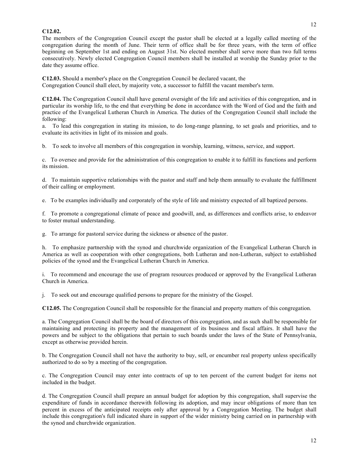## **C12.02.**

The members of the Congregation Council except the pastor shall be elected at a legally called meeting of the congregation during the month of June. Their term of office shall be for three years, with the term of office beginning on September 1st and ending on August 31st. No elected member shall serve more than two full terms consecutively. Newly elected Congregation Council members shall be installed at worship the Sunday prior to the date they assume office.

**C12.03.** Should a member's place on the Congregation Council be declared vacant, the Congregation Council shall elect, by majority vote, a successor to fulfill the vacant member's term.

**C12.04.** The Congregation Council shall have general oversight of the life and activities of this congregation, and in particular its worship life, to the end that everything be done in accordance with the Word of God and the faith and practice of the Evangelical Lutheran Church in America. The duties of the Congregation Council shall include the following:

a. To lead this congregation in stating its mission, to do long-range planning, to set goals and priorities, and to evaluate its activities in light of its mission and goals.

b. To seek to involve all members of this congregation in worship, learning, witness, service, and support.

c. To oversee and provide for the administration of this congregation to enable it to fulfill its functions and perform its mission.

d. To maintain supportive relationships with the pastor and staff and help them annually to evaluate the fulfillment of their calling or employment.

e. To be examples individually and corporately of the style of life and ministry expected of all baptized persons.

f. To promote a congregational climate of peace and goodwill, and, as differences and conflicts arise, to endeavor to foster mutual understanding.

g. To arrange for pastoral service during the sickness or absence of the pastor.

h. To emphasize partnership with the synod and churchwide organization of the Evangelical Lutheran Church in America as well as cooperation with other congregations, both Lutheran and non-Lutheran, subject to established policies of the synod and the Evangelical Lutheran Church in America.

i. To recommend and encourage the use of program resources produced or approved by the Evangelical Lutheran Church in America.

j. To seek out and encourage qualified persons to prepare for the ministry of the Gospel.

**C12.05.** The Congregation Council shall be responsible for the financial and property matters of this congregation.

a. The Congregation Council shall be the board of directors of this congregation, and as such shall be responsible for maintaining and protecting its property and the management of its business and fiscal affairs. It shall have the powers and be subject to the obligations that pertain to such boards under the laws of the State of Pennsylvania, except as otherwise provided herein.

b. The Congregation Council shall not have the authority to buy, sell, or encumber real property unless specifically authorized to do so by a meeting of the congregation.

c. The Congregation Council may enter into contracts of up to ten percent of the current budget for items not included in the budget.

d. The Congregation Council shall prepare an annual budget for adoption by this congregation, shall supervise the expenditure of funds in accordance therewith following its adoption, and may incur obligations of more than ten percent in excess of the anticipated receipts only after approval by a Congregation Meeting. The budget shall include this congregation's full indicated share in support of the wider ministry being carried on in partnership with the synod and churchwide organization.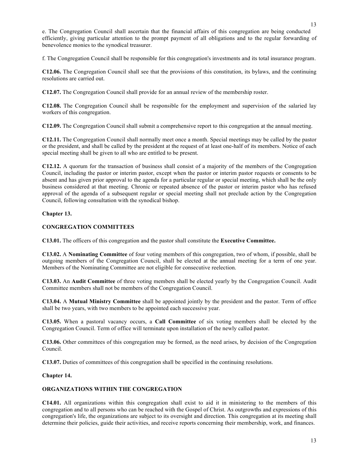e. The Congregation Council shall ascertain that the financial affairs of this congregation are being conducted efficiently, giving particular attention to the prompt payment of all obligations and to the regular forwarding of benevolence monies to the synodical treasurer.

f. The Congregation Council shall be responsible for this congregation's investments and its total insurance program.

**C12.06.** The Congregation Council shall see that the provisions of this constitution, its bylaws, and the continuing resolutions are carried out.

**C12.07.** The Congregation Council shall provide for an annual review of the membership roster.

**C12.08.** The Congregation Council shall be responsible for the employment and supervision of the salaried lay workers of this congregation.

**C12.09.** The Congregation Council shall submit a comprehensive report to this congregation at the annual meeting.

**C12.11.** The Congregation Council shall normally meet once a month. Special meetings may be called by the pastor or the president, and shall be called by the president at the request of at least one-half of its members. Notice of each special meeting shall be given to all who are entitled to be present.

**C12.12.** A quorum for the transaction of business shall consist of a majority of the members of the Congregation Council, including the pastor or interim pastor, except when the pastor or interim pastor requests or consents to be absent and has given prior approval to the agenda for a particular regular or special meeting, which shall be the only business considered at that meeting. Chronic or repeated absence of the pastor or interim pastor who has refused approval of the agenda of a subsequent regular or special meeting shall not preclude action by the Congregation Council, following consultation with the synodical bishop.

# **Chapter 13.**

# **CONGREGATION COMMITTEES**

**C13.01.** The officers of this congregation and the pastor shall constitute the **Executive Committee.**

**C13.02.** A **Nominating Committee** of four voting members of this congregation, two of whom, if possible, shall be outgoing members of the Congregation Council, shall be elected at the annual meeting for a term of one year. Members of the Nominating Committee are not eligible for consecutive reelection.

**C13.03.** An **Audit Committee** of three voting members shall be elected yearly by the Congregation Council. Audit Committee members shall not be members of the Congregation Council.

**C13.04.** A **Mutual Ministry Committee** shall be appointed jointly by the president and the pastor. Term of office shall be two years, with two members to be appointed each successive year.

**C13.05.** When a pastoral vacancy occurs, a **Call Committee** of six voting members shall be elected by the Congregation Council. Term of office will terminate upon installation of the newly called pastor.

**C13.06.** Other committees of this congregation may be formed, as the need arises, by decision of the Congregation Council.

**C13.07.** Duties of committees of this congregation shall be specified in the continuing resolutions.

## **Chapter 14.**

## **ORGANIZATIONS WITHIN THE CONGREGATION**

**C14.01.** All organizations within this congregation shall exist to aid it in ministering to the members of this congregation and to all persons who can be reached with the Gospel of Christ. As outgrowths and expressions of this congregation's life, the organizations are subject to its oversight and direction. This congregation at its meeting shall determine their policies, guide their activities, and receive reports concerning their membership, work, and finances.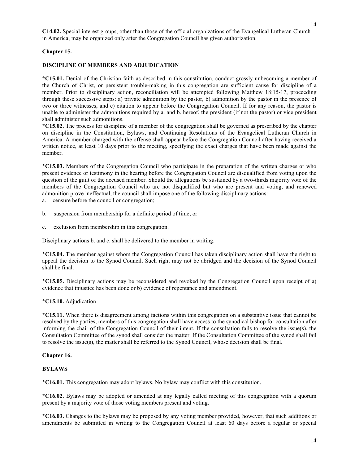**C14.02.** Special interest groups, other than those of the official organizations of the Evangelical Lutheran Church in America, may be organized only after the Congregation Council has given authorization.

#### **Chapter 15.**

## **DISCIPLINE OF MEMBERS AND ADJUDICATION**

**\*C15.01.** Denial of the Christian faith as described in this constitution, conduct grossly unbecoming a member of the Church of Christ, or persistent trouble-making in this congregation are sufficient cause for discipline of a member. Prior to disciplinary action, reconciliation will be attempted following Matthew 18:15-17, proceeding through these successive steps: a) private admonition by the pastor, b) admonition by the pastor in the presence of two or three witnesses, and c) citation to appear before the Congregation Council. If for any reason, the pastor is unable to administer the admonitions required by a. and b. hereof, the president (if not the pastor) or vice president shall administer such admonitions.

**\*C15.02.** The process for discipline of a member of the congregation shall be governed as prescribed by the chapter on discipline in the Constitution, Bylaws, and Continuing Resolutions of the Evangelical Lutheran Church in America. A member charged with the offense shall appear before the Congregation Council after having received a written notice, at least 10 days prior to the meeting, specifying the exact charges that have been made against the member.

**\*C15.03.** Members of the Congregation Council who participate in the preparation of the written charges or who present evidence or testimony in the hearing before the Congregation Council are disqualified from voting upon the question of the guilt of the accused member. Should the allegations be sustained by a two-thirds majority vote of the members of the Congregation Council who are not disqualified but who are present and voting, and renewed admonition prove ineffectual, the council shall impose one of the following disciplinary actions:

a. censure before the council or congregation;

- b. suspension from membership for a definite period of time; or
- c. exclusion from membership in this congregation.

Disciplinary actions b. and c. shall be delivered to the member in writing.

**\*C15.04.** The member against whom the Congregation Council has taken disciplinary action shall have the right to appeal the decision to the Synod Council. Such right may not be abridged and the decision of the Synod Council shall be final.

**\*C15.05.** Disciplinary actions may be reconsidered and revoked by the Congregation Council upon receipt of a) evidence that injustice has been done or b) evidence of repentance and amendment.

#### **\*C15.10.** Adjudication

**\*C15.11.** When there is disagreement among factions within this congregation on a substantive issue that cannot be resolved by the parties, members of this congregation shall have access to the synodical bishop for consultation after informing the chair of the Congregation Council of their intent. If the consultation fails to resolve the issue(s), the Consultation Committee of the synod shall consider the matter. If the Consultation Committee of the synod shall fail to resolve the issue(s), the matter shall be referred to the Synod Council, whose decision shall be final.

#### **Chapter 16.**

#### **BYLAWS**

**\*C16.01.** This congregation may adopt bylaws. No bylaw may conflict with this constitution.

**\*C16.02.** Bylaws may be adopted or amended at any legally called meeting of this congregation with a quorum present by a majority vote of those voting members present and voting.

**\*C16.03.** Changes to the bylaws may be proposed by any voting member provided, however, that such additions or amendments be submitted in writing to the Congregation Council at least 60 days before a regular or special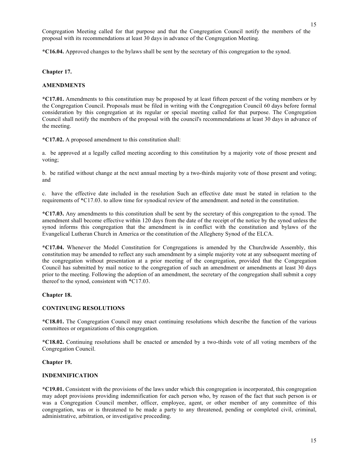Congregation Meeting called for that purpose and that the Congregation Council notify the members of the proposal with its recommendations at least 30 days in advance of the Congregation Meeting.

**\*C16.04.** Approved changes to the bylaws shall be sent by the secretary of this congregation to the synod.

## **Chapter 17.**

## **AMENDMENTS**

**\*C17.01.** Amendments to this constitution may be proposed by at least fifteen percent of the voting members or by the Congregation Council. Proposals must be filed in writing with the Congregation Council 60 days before formal consideration by this congregation at its regular or special meeting called for that purpose. The Congregation Council shall notify the members of the proposal with the council's recommendations at least 30 days in advance of the meeting.

**\*C17.02.** A proposed amendment to this constitution shall:

a. be approved at a legally called meeting according to this constitution by a majority vote of those present and voting;

b. be ratified without change at the next annual meeting by a two-thirds majority vote of those present and voting; and

c. have the effective date included in the resolution Such an effective date must be stated in relation to the requirements of \*C17.03. to allow time for synodical review of the amendment. and noted in the constitution.

**\*C17.03.** Any amendments to this constitution shall be sent by the secretary of this congregation to the synod. The amendment shall become effective within 120 days from the date of the receipt of the notice by the synod unless the synod informs this congregation that the amendment is in conflict with the constitution and bylaws of the Evangelical Lutheran Church in America or the constitution of the Allegheny Synod of the ELCA.

**\*C17.04.** Whenever the Model Constitution for Congregations is amended by the Churchwide Assembly, this constitution may be amended to reflect any such amendment by a simple majority vote at any subsequent meeting of the congregation without presentation at a prior meeting of the congregation, provided that the Congregation Council has submitted by mail notice to the congregation of such an amendment or amendments at least 30 days prior to the meeting. Following the adoption of an amendment, the secretary of the congregation shall submit a copy thereof to the synod, consistent with \*C17.03.

# **Chapter 18.**

## **CONTINUING RESOLUTIONS**

**\*C18.01.** The Congregation Council may enact continuing resolutions which describe the function of the various committees or organizations of this congregation.

**\*C18.02.** Continuing resolutions shall be enacted or amended by a two-thirds vote of all voting members of the Congregation Council.

## **Chapter 19.**

## **INDEMNIFICATION**

**\*C19.01.** Consistent with the provisions of the laws under which this congregation is incorporated, this congregation may adopt provisions providing indemnification for each person who, by reason of the fact that such person is or was a Congregation Council member, officer, employee, agent, or other member of any committee of this congregation, was or is threatened to be made a party to any threatened, pending or completed civil, criminal, administrative, arbitration, or investigative proceeding.